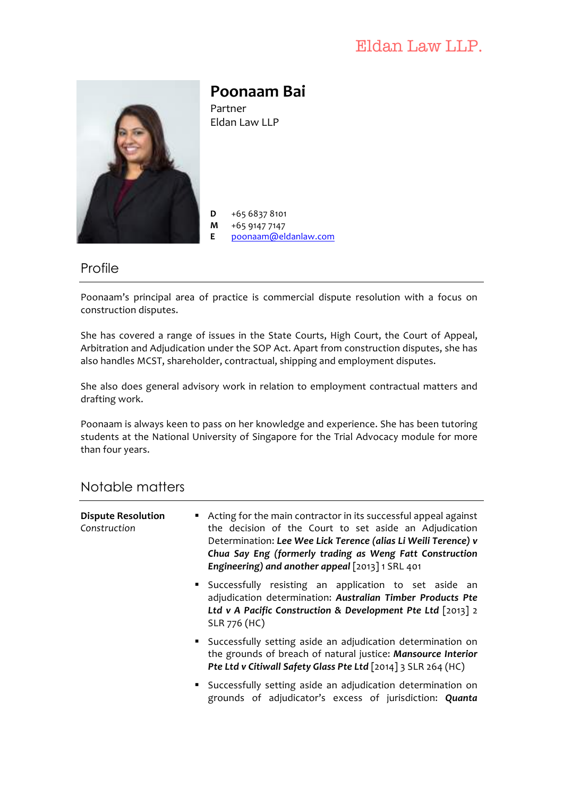# Eldan Law LLP.



**Poonaam Bai**

Partner Eldan Law LLP

 $D +6568378101$ **M** +65 9147 7147 **E** poonaam@eldanlaw.com

#### Profile

Poonaam's principal area of practice is commercial dispute resolution with a focus on construction disputes.

She has covered a range of issues in the State Courts, High Court, the Court of Appeal, Arbitration and Adjudication under the SOP Act. Apart from construction disputes, she has also handles MCST, shareholder, contractual, shipping and employment disputes.

She also does general advisory work in relation to employment contractual matters and drafting work.

Poonaam is always keen to pass on her knowledge and experience. She has been tutoring students at the National University of Singapore for the Trial Advocacy module for more than four years.

#### Notable matters

| <b>Dispute Resolution</b><br>Construction | • Acting for the main contractor in its successful appeal against<br>the decision of the Court to set aside an Adjudication<br>Determination: Lee Wee Lick Terence (alias Li Weili Terence) v<br>Chua Say Eng (formerly trading as Weng Fatt Construction<br>Engineering) and another appeal [2013] 1 SRL 401 |
|-------------------------------------------|---------------------------------------------------------------------------------------------------------------------------------------------------------------------------------------------------------------------------------------------------------------------------------------------------------------|
|                                           | • Successfully resisting an application to set aside an<br>adjudication determination: Australian Timber Products Pte<br>Ltd v A Pacific Construction & Development Pte Ltd $\lceil 2013 \rceil$ 2<br>SLR 776 (HC)                                                                                            |
|                                           | • Successfully setting aside an adjudication determination on<br>the grounds of breach of natural justice: Mansource Interior<br>Pte Ltd v Citiwall Safety Glass Pte Ltd [2014] 3 SLR 264 (HC)                                                                                                                |
|                                           | • Successfully setting aside an adjudication determination on<br>grounds of adjudicator's excess of jurisdiction: Quanta                                                                                                                                                                                      |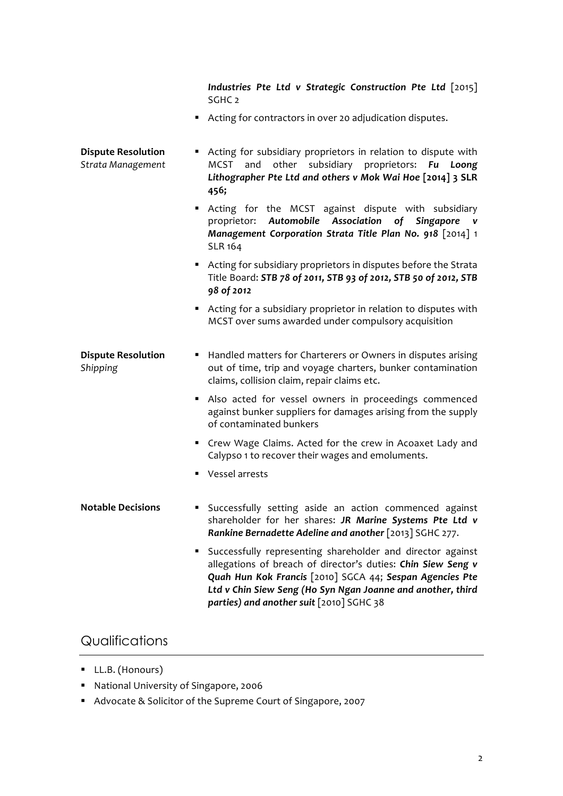*Industries* Pte Ltd v Strategic Construction Pte Ltd [2015] SGHC<sub>2</sub>

■ Acting for contractors in over 20 adjudication disputes.

| <b>Dispute Resolution</b><br>Strata Management | Acting for subsidiary proprietors in relation to dispute with<br>٠<br>MCST and other subsidiary proprietors: Fu Loong<br>Lithographer Pte Ltd and others v Mok Wai Hoe [2014] 3 SLR<br>456;                                                                                                            |
|------------------------------------------------|--------------------------------------------------------------------------------------------------------------------------------------------------------------------------------------------------------------------------------------------------------------------------------------------------------|
|                                                | Acting for the MCST against dispute with subsidiary<br>Automobile Association<br>of<br>Singapore<br>proprietor:<br>v<br>Management Corporation Strata Title Plan No. 918 [2014] 1<br><b>SLR 164</b>                                                                                                    |
|                                                | Acting for subsidiary proprietors in disputes before the Strata<br>Title Board: STB 78 of 2011, STB 93 of 2012, STB 50 of 2012, STB<br>98 of 2012                                                                                                                                                      |
|                                                | Acting for a subsidiary proprietor in relation to disputes with<br>MCST over sums awarded under compulsory acquisition                                                                                                                                                                                 |
| <b>Dispute Resolution</b><br>Shipping          | Handled matters for Charterers or Owners in disputes arising<br>п<br>out of time, trip and voyage charters, bunker contamination<br>claims, collision claim, repair claims etc.                                                                                                                        |
|                                                | Also acted for vessel owners in proceedings commenced<br>against bunker suppliers for damages arising from the supply<br>of contaminated bunkers                                                                                                                                                       |
|                                                | Crew Wage Claims. Acted for the crew in Acoaxet Lady and<br>٠<br>Calypso 1 to recover their wages and emoluments.                                                                                                                                                                                      |
|                                                | Vessel arrests<br>٠                                                                                                                                                                                                                                                                                    |
| <b>Notable Decisions</b>                       | Successfully setting aside an action commenced against<br>п<br>shareholder for her shares: JR Marine Systems Pte Ltd v<br>Rankine Bernadette Adeline and another [2013] SGHC 277.                                                                                                                      |
|                                                | Successfully representing shareholder and director against<br>٠<br>allegations of breach of director's duties: Chin Siew Seng v<br>Quah Hun Kok Francis [2010] SGCA 44; Sespan Agencies Pte<br>Ltd v Chin Siew Seng (Ho Syn Ngan Joanne and another, third<br>parties) and another suit [2010] SGHC 38 |

## Qualifications

- LL.B. (Honours)
- National University of Singapore, 2006
- Advocate & Solicitor of the Supreme Court of Singapore, 2007